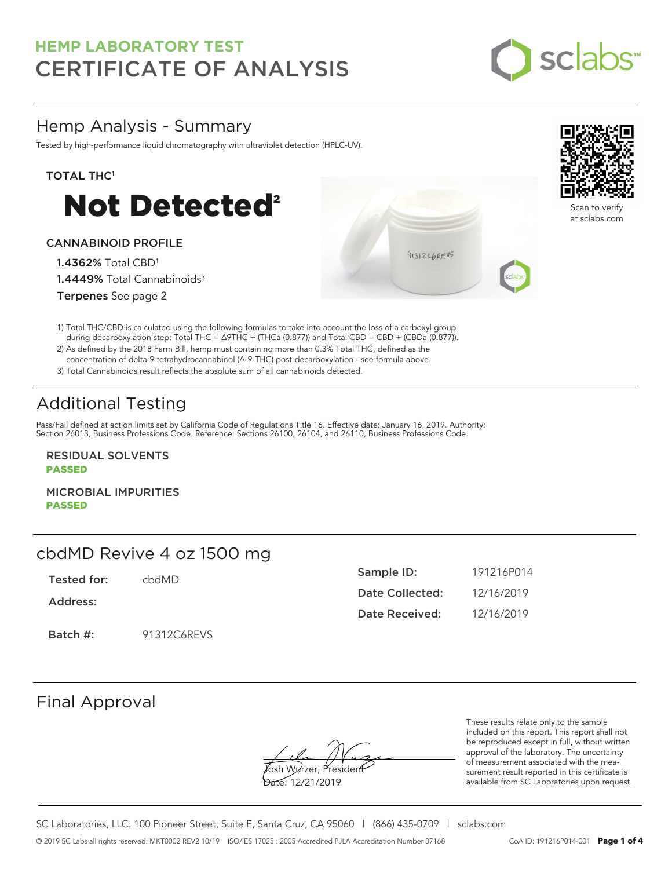

## Hemp Analysis - Summary

Tested by high-performance liquid chromatography with ultraviolet detection (HPLC-UV).

#### TOTAL THC<sup>1</sup>



#### CANNABINOID PROFILE

1.4362% Total CBD<sup>1</sup> 1.4449% Total Cannabinoids<sup>3</sup> Terpenes See page 2

1) Total THC/CBD is calculated using the following formulas to take into account the loss of a carboxyl group during decarboxylation step: Total THC = ∆9THC + (THCa (0.877)) and Total CBD = CBD + (CBDa (0.877)).

2) As defined by the 2018 Farm Bill, hemp must contain no more than 0.3% Total THC, defined as the concentration of delta-9 tetrahydrocannabinol (Δ-9-THC) post-decarboxylation - see formula above.

3) Total Cannabinoids result reflects the absolute sum of all cannabinoids detected.

# Additional Testing

Pass/Fail defined at action limits set by California Code of Regulations Title 16. Effective date: January 16, 2019. Authority: Section 26013, Business Professions Code. Reference: Sections 26100, 26104, and 26110, Business Professions Code.

RESIDUAL SOLVENTS PASSED

MICROBIAL IMPURITIES PASSED

## cbdMD Revive 4 oz 1500 mg

Tested for: cbdMD

Address:

Batch #: 91312C6REVS

| Sample ID:      | 191216P014 |
|-----------------|------------|
| Date Collected: | 12/16/2019 |
| Date Received:  | 12/16/2019 |

91312C6REVS

Final Approval

osh Wurzer, Presider

Date: 12/21/2019

These results relate only to the sample included on this report. This report shall not be reproduced except in full, without written approval of the laboratory. The uncertainty of measurement associated with the measurement result reported in this certificate is available from SC Laboratories upon request.

SC Laboratories, LLC. 100 Pioneer Street, Suite E, Santa Cruz, CA 95060 | (866) 435-0709 | sclabs.com © 2019 SC Labs all rights reserved. MKT0002 REV2 10/19 ISO/IES 17025 : 2005 Accredited PJLA Accreditation Number 87168 CoA ID: 191216P014-001 **Page 1 of 4**



Scan to verify at sclabs.com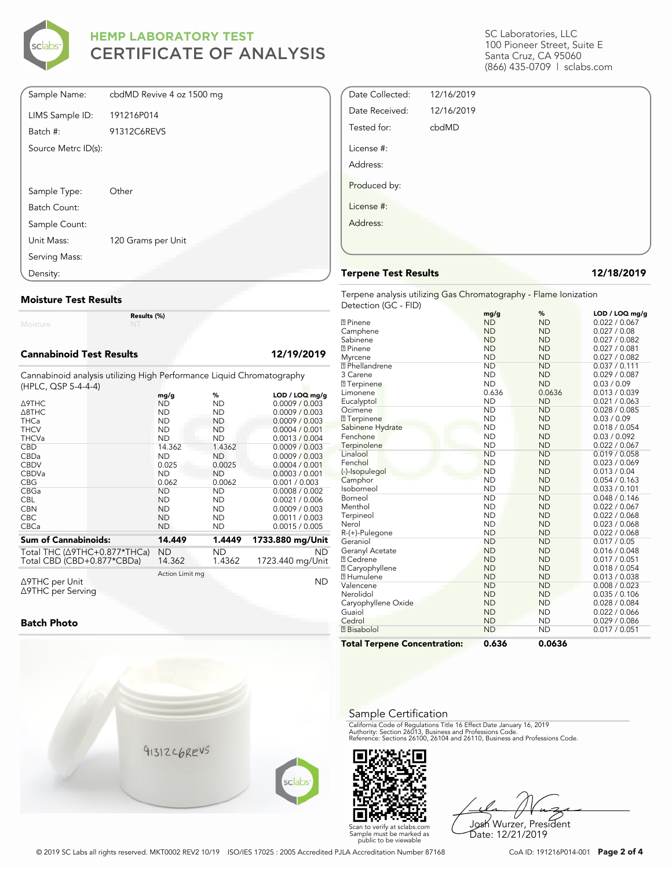

| Sample Name:        | cbdMD Revive 4 oz 1500 mg |
|---------------------|---------------------------|
| LIMS Sample ID:     | 191216P014                |
| Batch #:            | 91312C6REVS               |
| Source Metrc ID(s): |                           |
|                     |                           |
|                     |                           |
| Sample Type:        | Other                     |
| Batch Count:        |                           |
| Sample Count:       |                           |
| Unit Mass:          | 120 Grams per Unit        |
| Serving Mass:       |                           |
| Density:            |                           |

#### **Moisture Test Results**

Moisture

**Results (%)**

#### **Cannabinoid Test Results 12/19/2019**

Cannabinoid analysis utilizing High Performance Liquid Chromatography (HPLC, QSP 5-4-4-4)

|                                          | mg/g            | %         | $LOD / LOQ$ mg/g |
|------------------------------------------|-----------------|-----------|------------------|
| Δ9THC                                    | ND              | ND        | 0.0009 / 0.003   |
| $\triangle$ 8THC                         | <b>ND</b>       | <b>ND</b> | 0.0009 / 0.003   |
| <b>THCa</b>                              | <b>ND</b>       | ND.       | 0.0009 / 0.003   |
| <b>THCV</b>                              | <b>ND</b>       | ND        | 0.0004 / 0.001   |
| <b>THCVa</b>                             | <b>ND</b>       | <b>ND</b> | 0.0013 / 0.004   |
| <b>CBD</b>                               | 14.362          | 1.4362    | 0.0009 / 0.003   |
| <b>CBDa</b>                              | <b>ND</b>       | <b>ND</b> | 0.0009 / 0.003   |
| <b>CBDV</b>                              | 0.025           | 0.0025    | 0.0004 / 0.001   |
| <b>CBDVa</b>                             | <b>ND</b>       | <b>ND</b> | 0.0003 / 0.001   |
| <b>CBG</b>                               | 0.062           | 0.0062    | 0.001 / 0.003    |
| CBGa                                     | <b>ND</b>       | ND        | 0.0008 / 0.002   |
| <b>CBL</b>                               | <b>ND</b>       | ND.       | 0.0021 / 0.006   |
| <b>CBN</b>                               | <b>ND</b>       | ND        | 0.0009 / 0.003   |
| <b>CBC</b>                               | <b>ND</b>       | ND        | 0.0011 / 0.003   |
| <b>CBCa</b>                              | <b>ND</b>       | ND        | 0.0015 / 0.005   |
| <b>Sum of Cannabinoids:</b>              | 14.449          | 1.4449    | 1733.880 mg/Unit |
| Total THC ( $\triangle$ 9THC+0.877*THCa) | ND              | ND        | <b>ND</b>        |
| Total CBD (CBD+0.877*CBDa)               | 14.362          | 1.4362    | 1723.440 mg/Unit |
| Δ9THC per Unit                           | Action Limit mg |           | ND               |

Δ9THC per Unit Δ9THC per Serving

#### **Batch Photo**



SC Laboratories, LLC 100 Pioneer Street, Suite E Santa Cruz, CA 95060 (866) 435-0709 | sclabs.com

| Date Collected: | 12/16/2019 |  |
|-----------------|------------|--|
| Date Received:  | 12/16/2019 |  |
| Tested for:     | cbdMD      |  |
| License #:      |            |  |
| Address:        |            |  |
| Produced by:    |            |  |
| License #:      |            |  |
| Address:        |            |  |
|                 |            |  |

#### **Terpene Test Results 12/18/2019**

Terpene analysis utilizing Gas Chromatography - Flame Ionization Detection (GC - FID)

|                                     | mg/g      | %         | LOD / LOQ mg/g |
|-------------------------------------|-----------|-----------|----------------|
| <b>2</b> Pinene                     | <b>ND</b> | <b>ND</b> | 0.022 / 0.067  |
| Camphene                            | <b>ND</b> | <b>ND</b> | 0.027 / 0.08   |
| Sabinene                            | <b>ND</b> | <b>ND</b> | 0.027 / 0.082  |
| <b>7</b> Pinene                     | <b>ND</b> | <b>ND</b> | 0.027 / 0.081  |
| Myrcene                             | <b>ND</b> | <b>ND</b> | 0.027 / 0.082  |
| <sup>2</sup> Phellandrene           | <b>ND</b> | <b>ND</b> | 0.037 / 0.111  |
| 3 Carene                            | <b>ND</b> | <b>ND</b> | 0.029 / 0.087  |
| <b>7</b> Terpinene                  | <b>ND</b> | <b>ND</b> | 0.03 / 0.09    |
| Limonene                            | 0.636     | 0.0636    | 0.013 / 0.039  |
| Eucalyptol                          | <b>ND</b> | <b>ND</b> | 0.021 / 0.063  |
| Ocimene                             | <b>ND</b> | <b>ND</b> | 0.028 / 0.085  |
| <b>7</b> Terpinene                  | <b>ND</b> | <b>ND</b> | 0.03 / 0.09    |
| Sabinene Hydrate                    | <b>ND</b> | <b>ND</b> | 0.018 / 0.054  |
| Fenchone                            | <b>ND</b> | <b>ND</b> | 0.03 / 0.092   |
| Terpinolene                         | <b>ND</b> | <b>ND</b> | 0.022 / 0.067  |
| Linalool                            | <b>ND</b> | <b>ND</b> | 0.019 / 0.058  |
| Fenchol                             | <b>ND</b> | <b>ND</b> | 0.023 / 0.069  |
| (-)-Isopulegol                      | <b>ND</b> | <b>ND</b> | 0.013 / 0.04   |
| Camphor                             | <b>ND</b> | <b>ND</b> | 0.054 / 0.163  |
| Isoborneol                          | <b>ND</b> | <b>ND</b> | 0.033 / 0.101  |
| Borneol                             | <b>ND</b> | <b>ND</b> | 0.048 / 0.146  |
| Menthol                             | <b>ND</b> | <b>ND</b> | 0.022 / 0.067  |
| Terpineol                           | <b>ND</b> | <b>ND</b> | 0.022 / 0.068  |
| Nerol                               | <b>ND</b> | <b>ND</b> | 0.023 / 0.068  |
| R-(+)-Pulegone                      | <b>ND</b> | <b>ND</b> | 0.022 / 0.068  |
| Geraniol                            | <b>ND</b> | <b>ND</b> | 0.017 / 0.05   |
| Geranyl Acetate                     | <b>ND</b> | <b>ND</b> | 0.016 / 0.048  |
| <b>7 Cedrene</b>                    | <b>ND</b> | <b>ND</b> | 0.017 / 0.051  |
| <b>2 Caryophyllene</b>              | <b>ND</b> | <b>ND</b> | 0.018 / 0.054  |
| <b>7</b> Humulene                   | <b>ND</b> | <b>ND</b> | 0.013 / 0.038  |
| Valencene                           | <b>ND</b> | <b>ND</b> | 0.008 / 0.023  |
| Nerolidol                           | <b>ND</b> | <b>ND</b> | 0.035 / 0.106  |
| Caryophyllene Oxide                 | <b>ND</b> | <b>ND</b> | 0.028 / 0.084  |
| Guaiol                              | <b>ND</b> | <b>ND</b> | 0.022 / 0.066  |
| Cedrol                              | <b>ND</b> | <b>ND</b> | 0.029 / 0.086  |
| <b>7 Bisabolol</b>                  | <b>ND</b> | <b>ND</b> | 0.017 / 0.051  |
| <b>Total Terpene Concentration:</b> | 0.636     | 0.0636    |                |

#### Sample Certification

California Code of Regulations Title 16 Effect Date January 16, 2019<br>Authority: Section 26013, Business and Professions Code.<br>Reference: Sections 26100, 26104 and 26110, Business and Professions Code.



Josh Wurzer, President Date: 12/21/2019

© 2019 SC Labs all rights reserved. MKT0002 REV2 10/19 ISO/IES 17025 : 2005 Accredited PJLA Accreditation Number 87168 CoA ID: 191216P014-001 **Page 2 of 4**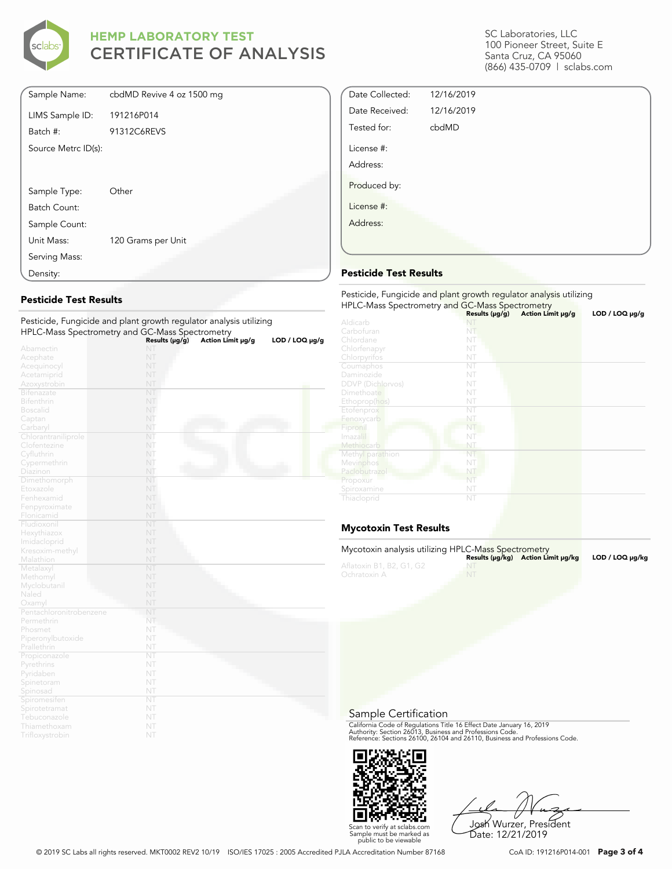

| Sample Name:        | cbdMD Revive 4 oz 1500 mg |
|---------------------|---------------------------|
| LIMS Sample ID:     | 191216P014                |
| Batch #:            | 91312C6REVS               |
| Source Metrc ID(s): |                           |
|                     |                           |
| Sample Type:        | Other                     |
| Batch Count:        |                           |
| Sample Count:       |                           |
| Unit Mass:          | 120 Grams per Unit        |
| Serving Mass:       |                           |
| Density:            |                           |

#### **Pesticide Test Results**

| Pesticide, Fungicide and plant growth regulator analysis utilizing |                |                   |                     |
|--------------------------------------------------------------------|----------------|-------------------|---------------------|
| HPLC-Mass Spectrometry and GC-Mass Spectrometry                    |                |                   |                     |
|                                                                    | Results (µg/g) | Action Limit µg/g | $LOD / LOQ \mu g/g$ |
| Abamectin                                                          | NT             |                   |                     |
| Acephate                                                           | NT             |                   |                     |
| Acequinocyl                                                        | NT             |                   |                     |
| Acetamiprid                                                        | NT             |                   |                     |
| Azoxystrobin                                                       | NT             |                   |                     |
| <b>Bifenazate</b>                                                  | NT             |                   |                     |
| <b>Bifenthrin</b>                                                  | NT             |                   |                     |
| <b>Boscalid</b>                                                    | NT             |                   |                     |
| Captan                                                             | NT             |                   |                     |
| Carbaryl                                                           | NT             |                   |                     |
| Chlorantraniliprole                                                | NT             |                   |                     |
| Clofentezine                                                       | NT             |                   |                     |
| Cyfluthrin                                                         | NT             |                   |                     |
| Cypermethrin                                                       | NT             |                   |                     |
| Diazinon                                                           | NT             |                   |                     |
| Dimethomorph                                                       | NT             |                   |                     |
| Etoxazole                                                          | NT             |                   |                     |
| Fenhexamid                                                         | NT             |                   |                     |
| Fenpyroximate                                                      | NT             |                   |                     |
| Flonicamid                                                         | NT             |                   |                     |
| Fludioxonil                                                        | NT             |                   |                     |
| Hexythiazox                                                        | NT             |                   |                     |
| Imidacloprid                                                       | NT             |                   |                     |
| Kresoxim-methyl                                                    | NT             |                   |                     |
| Malathion                                                          | NT             |                   |                     |
| Metalaxyl                                                          | NT             |                   |                     |
| Methomyl                                                           | NT             |                   |                     |
| Myclobutanil                                                       | NT             |                   |                     |
| Naled                                                              | NT             |                   |                     |
| Oxamyl                                                             | NT             |                   |                     |
| Pentachloronitrobenzene                                            | NT             |                   |                     |
| Permethrin                                                         | NT             |                   |                     |
| Phosmet                                                            | NT             |                   |                     |
| Piperonylbutoxide                                                  | NT             |                   |                     |
| Prallethrin                                                        | NT             |                   |                     |
| Propiconazole                                                      | NT             |                   |                     |
| Pyrethrins                                                         | NT             |                   |                     |
| Pyridaben                                                          | NT             |                   |                     |
| Spinetoram                                                         | NT             |                   |                     |
| Spinosad                                                           | NT             |                   |                     |
| Spiromesiten                                                       | NT             |                   |                     |
| Spirotetramat                                                      | NT             |                   |                     |
| Tebuconazole                                                       | NT             |                   |                     |
| Thiamethoxam                                                       | NT             |                   |                     |
| Trifloxystrobin                                                    | NT             |                   |                     |

SC Laboratories, LLC 100 Pioneer Street, Suite E Santa Cruz, CA 95060 (866) 435-0709 | sclabs.com

| Date Collected: | 12/16/2019 |  |
|-----------------|------------|--|
| Date Received:  | 12/16/2019 |  |
| Tested for:     | cbdMD      |  |
| License #:      |            |  |
| Address:        |            |  |
| Produced by:    |            |  |
| License #:      |            |  |
| Address:        |            |  |
|                 |            |  |

#### **Pesticide Test Results**

| Pesticide, Fungicide and plant growth regulator analysis utilizing<br>HPLC-Mass Spectrometry and GC-Mass Spectrometry |                     |                   |                |  |
|-----------------------------------------------------------------------------------------------------------------------|---------------------|-------------------|----------------|--|
|                                                                                                                       | Results $(\mu g/g)$ | Action Limit µg/g | LOD / LOQ µg/g |  |
| Aldicarb                                                                                                              |                     |                   |                |  |
| Carbofuran                                                                                                            | NT                  |                   |                |  |
| Chlordane                                                                                                             | NT                  |                   |                |  |
| Chlorfenapyr                                                                                                          | NT                  |                   |                |  |
| Chlorpyrifos                                                                                                          | NT                  |                   |                |  |
| Coumaphos                                                                                                             | NT                  |                   |                |  |
| Daminozide                                                                                                            | NT                  |                   |                |  |
| <b>DDVP</b> (Dichlorvos)                                                                                              | NT                  |                   |                |  |
| Dimethoate                                                                                                            | NT                  |                   |                |  |
| Ethoprop(hos)                                                                                                         | NT                  |                   |                |  |
| Etofenprox                                                                                                            | NT                  |                   |                |  |
| Fenoxycarb                                                                                                            | NT                  |                   |                |  |
| Fipronil                                                                                                              | NT                  |                   |                |  |
| Imazalil                                                                                                              | NT                  |                   |                |  |
| Methiocarb                                                                                                            | NT                  |                   |                |  |
| Methyl parathion                                                                                                      | NT                  |                   |                |  |
| Mevinphos                                                                                                             | NT                  |                   |                |  |
| Paclobutrazol                                                                                                         | NT                  |                   |                |  |
| Propoxur                                                                                                              | NT                  |                   |                |  |
| Spiroxamine                                                                                                           | NT                  |                   |                |  |
| Thiacloprid                                                                                                           | NT                  |                   |                |  |

### **Mycotoxin Test Results**

| Mycotoxin analysis utilizing HPLC-Mass Spectrometry |           |                                    |                 |
|-----------------------------------------------------|-----------|------------------------------------|-----------------|
|                                                     |           | Results (µq/kq) Action Limit µq/kq | LOD / LOQ µq/kq |
| Aflatoxin B1, B2, G1, G2                            |           |                                    |                 |
| Ochratoxin A                                        | <b>NT</b> |                                    |                 |
|                                                     |           |                                    |                 |

Sample Certification

California Code of Regulations Title 16 Effect Date January 16, 2019<br>Authority: Section 26013, Business and Professions Code.<br>Reference: Sections 26100, 26104 and 26110, Business and Professions Code.



Josh Wurzer, President Date: 12/21/2019

© 2019 SC Labs all rights reserved. MKT0002 REV2 10/19 ISO/IES 17025 : 2005 Accredited PJLA Accreditation Number 87168 CoA ID: 191216P014-001 **Page 3 of 4**